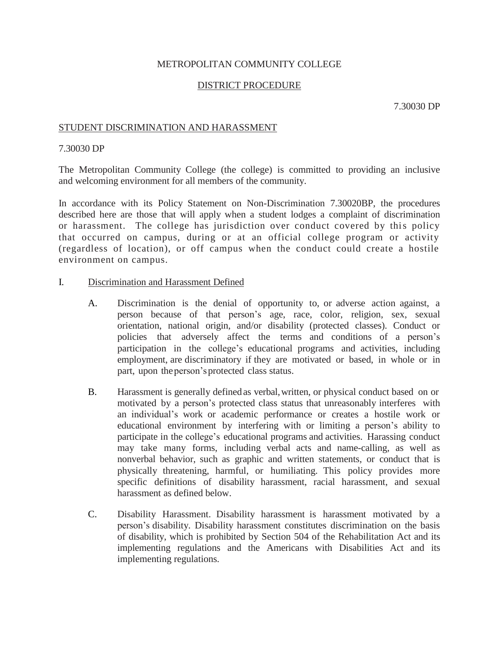## METROPOLITAN COMMUNITY COLLEGE

## DISTRICT PROCEDURE

7.30030 DP

### STUDENT DISCRIMINATION AND HARASSMENT

#### 7.30030 DP

The Metropolitan Community College (the college) is committed to providing an inclusive and welcoming environment for all members of the community.

In accordance with its Policy Statement on Non-Discrimination 7.30020BP, the procedures described here are those that will apply when a student lodges a complaint of discrimination or harassment. The college has jurisdiction over conduct covered by this policy that occurred on campus, during or at an official college program or activity (regardless of location), or off campus when the conduct could create a hostile environment on campus.

### I. Discrimination and Harassment Defined

- A. Discrimination is the denial of opportunity to, or adverse action against, a person because of that person's age, race, color, religion, sex, sexual orientation, national origin, and/or disability (protected classes). Conduct or policies that adversely affect the terms and conditions of a person's participation in the college's educational programs and activities, including employment, are discriminatory if they are motivated or based, in whole or in part, upon theperson'sprotected class status.
- B. Harassment is generally definedas verbal,written, or physical conduct based on or motivated by a person's protected class status that unreasonably interferes with an individual's work or academic performance or creates a hostile work or educational environment by interfering with or limiting a person's ability to participate in the college's educational programs and activities. Harassing conduct may take many forms, including verbal acts and name-calling, as well as nonverbal behavior, such as graphic and written statements, or conduct that is physically threatening, harmful, or humiliating. This policy provides more specific definitions of disability harassment, racial harassment, and sexual harassment as defined below.
- C. Disability Harassment. Disability harassment is harassment motivated by a person's disability. Disability harassment constitutes discrimination on the basis of disability, which is prohibited by Section 504 of the Rehabilitation Act and its implementing regulations and the Americans with Disabilities Act and its implementing regulations.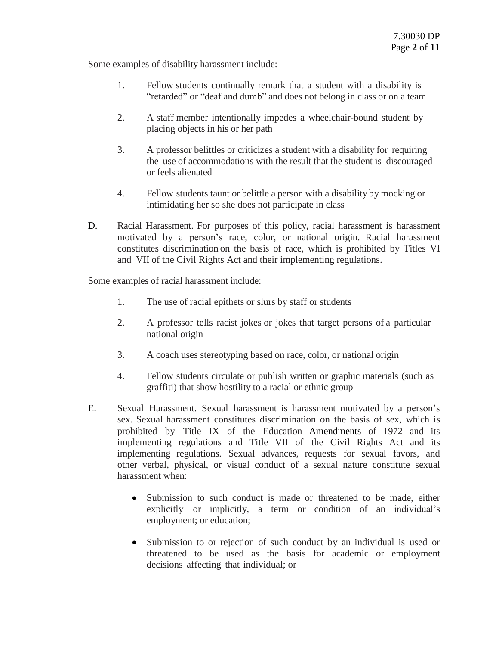Some examples of disability harassment include:

- 1. Fellow students continually remark that a student with a disability is "retarded" or "deaf and dumb" and does not belong in class or on a team
- 2. A staff member intentionally impedes a wheelchair-bound student by placing objects in his or her path
- 3. A professor belittles or criticizes a student with a disability for requiring the use of accommodations with the result that the student is discouraged or feels alienated
- 4. Fellow students taunt or belittle a person with a disability by mocking or intimidating her so she does not participate in class
- D. Racial Harassment. For purposes of this policy, racial harassment is harassment motivated by a person's race, color, or national origin. Racial harassment constitutes discrimination on the basis of race, which is prohibited by Titles VI and VII of the Civil Rights Act and their implementing regulations.

Some examples of racial harassment include:

- 1. The use of racial epithets or slurs by staff or students
- 2. A professor tells racist jokes or jokes that target persons of a particular national origin
- 3. A coach uses stereotyping based on race, color, or national origin
- 4. Fellow students circulate or publish written or graphic materials (such as graffiti) that show hostility to a racial or ethnic group
- E. Sexual Harassment. Sexual harassment is harassment motivated by a person's sex. Sexual harassment constitutes discrimination on the basis of sex, which is prohibited by Title IX of the Education Amendments of 1972 and its implementing regulations and Title VII of the Civil Rights Act and its implementing regulations. Sexual advances, requests for sexual favors, and other verbal, physical, or visual conduct of a sexual nature constitute sexual harassment when:
	- Submission to such conduct is made or threatened to be made, either explicitly or implicitly, a term or condition of an individual's employment; or education;
	- Submission to or rejection of such conduct by an individual is used or threatened to be used as the basis for academic or employment decisions affecting that individual; or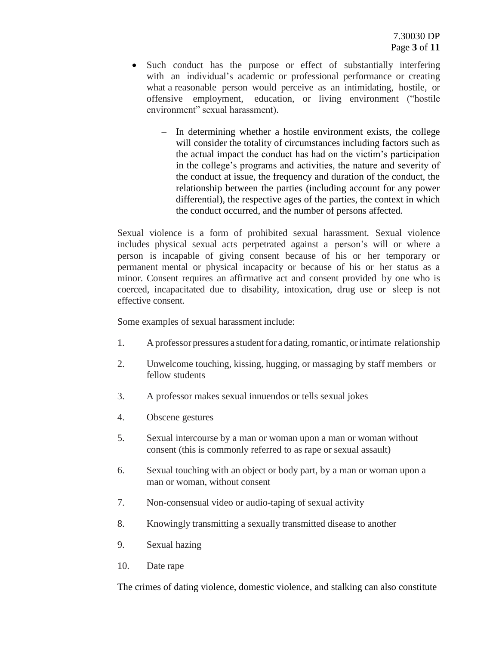- Such conduct has the purpose or effect of substantially interfering with an individual's academic or professional performance or creating what a reasonable person would perceive as an intimidating, hostile, or offensive employment, education, or living environment ("hostile environment" sexual harassment).
	- In determining whether a hostile environment exists, the college will consider the totality of circumstances including factors such as the actual impact the conduct has had on the victim's participation in the college's programs and activities, the nature and severity of the conduct at issue, the frequency and duration of the conduct, the relationship between the parties (including account for any power differential), the respective ages of the parties, the context in which the conduct occurred, and the number of persons affected.

Sexual violence is a form of prohibited sexual harassment. Sexual violence includes physical sexual acts perpetrated against a person's will or where a person is incapable of giving consent because of his or her temporary or permanent mental or physical incapacity or because of his or her status as a minor. Consent requires an affirmative act and consent provided by one who is coerced, incapacitated due to disability, intoxication, drug use or sleep is not effective consent.

Some examples of sexual harassment include:

- 1. A professor pressures a student for a dating, romantic, or intimate relationship
- 2. Unwelcome touching, kissing, hugging, or massaging by staff members or fellow students
- 3. A professor makes sexual innuendos or tells sexual jokes
- 4. Obscene gestures
- 5. Sexual intercourse by a man or woman upon a man or woman without consent (this is commonly referred to as rape or sexual assault)
- 6. Sexual touching with an object or body part, by a man or woman upon a man or woman, without consent
- 7. Non-consensual video or audio-taping of sexual activity
- 8. Knowingly transmitting a sexually transmitted disease to another
- 9. Sexual hazing
- 10. Date rape

The crimes of dating violence, domestic violence, and stalking can also constitute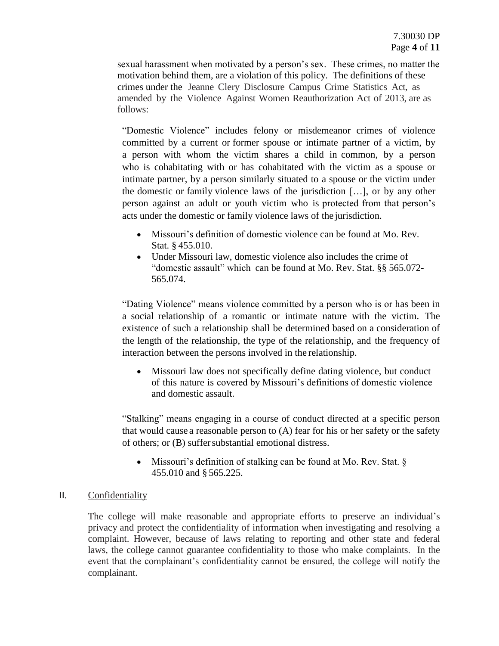sexual harassment when motivated by a person's sex. These crimes, no matter the motivation behind them, are a violation of this policy. The definitions of these crimes under the Jeanne Clery Disclosure Campus Crime Statistics Act, as amended by the Violence Against Women Reauthorization Act of 2013, are as follows:

"Domestic Violence" includes felony or misdemeanor crimes of violence committed by a current or former spouse or intimate partner of a victim, by a person with whom the victim shares a child in common, by a person who is cohabitating with or has cohabitated with the victim as a spouse or intimate partner, by a person similarly situated to a spouse or the victim under the domestic or family violence laws of the jurisdiction […], or by any other person against an adult or youth victim who is protected from that person's acts under the domestic or family violence laws of the jurisdiction.

- Missouri's definition of domestic violence can be found at Mo. Rev. Stat. § 455.010.
- Under Missouri law, domestic violence also includes the crime of "domestic assault" which can be found at Mo. Rev. Stat. §§ 565.072- 565.074.

"Dating Violence" means violence committed by a person who is or has been in a social relationship of a romantic or intimate nature with the victim. The existence of such a relationship shall be determined based on a consideration of the length of the relationship, the type of the relationship, and the frequency of interaction between the persons involved in the relationship.

 Missouri law does not specifically define dating violence, but conduct of this nature is covered by Missouri's definitions of domestic violence and domestic assault.

"Stalking" means engaging in a course of conduct directed at a specific person that would cause a reasonable person to (A) fear for his or her safety or the safety of others; or (B) suffersubstantial emotional distress.

 Missouri's definition of stalking can be found at Mo. Rev. Stat. § 455.010 and § 565.225.

## II. Confidentiality

The college will make reasonable and appropriate efforts to preserve an individual's privacy and protect the confidentiality of information when investigating and resolving a complaint. However, because of laws relating to reporting and other state and federal laws, the college cannot guarantee confidentiality to those who make complaints. In the event that the complainant's confidentiality cannot be ensured, the college will notify the complainant.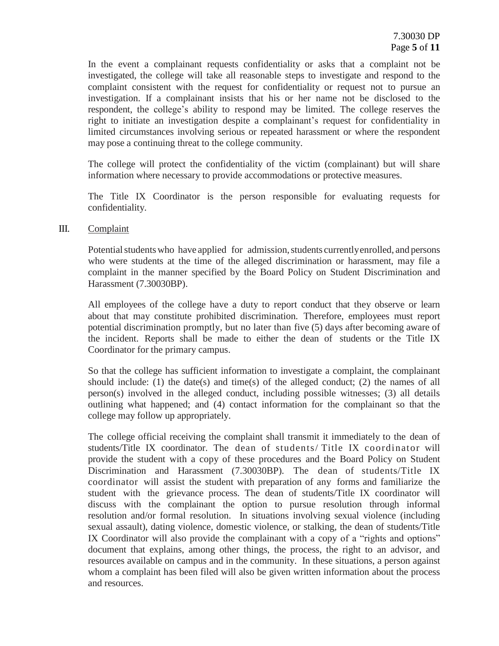In the event a complainant requests confidentiality or asks that a complaint not be investigated, the college will take all reasonable steps to investigate and respond to the complaint consistent with the request for confidentiality or request not to pursue an investigation. If a complainant insists that his or her name not be disclosed to the respondent, the college's ability to respond may be limited. The college reserves the right to initiate an investigation despite a complainant's request for confidentiality in limited circumstances involving serious or repeated harassment or where the respondent may pose a continuing threat to the college community.

The college will protect the confidentiality of the victim (complainant) but will share information where necessary to provide accommodations or protective measures.

The Title IX Coordinator is the person responsible for evaluating requests for confidentiality.

## III. Complaint

Potential students who have applied for admission, students currently enrolled, and persons who were students at the time of the alleged discrimination or harassment, may file a complaint in the manner specified by the Board Policy on Student Discrimination and Harassment (7.30030BP).

All employees of the college have a duty to report conduct that they observe or learn about that may constitute prohibited discrimination. Therefore, employees must report potential discrimination promptly, but no later than five (5) days after becoming aware of the incident. Reports shall be made to either the dean of students or the Title IX Coordinator for the primary campus.

So that the college has sufficient information to investigate a complaint, the complainant should include: (1) the date(s) and time(s) of the alleged conduct; (2) the names of all person(s) involved in the alleged conduct, including possible witnesses; (3) all details outlining what happened; and (4) contact information for the complainant so that the college may follow up appropriately.

The college official receiving the complaint shall transmit it immediately to the dean of students/Title IX coordinator. The dean of students/ Title IX coordinator will provide the student with a copy of these procedures and the Board Policy on Student Discrimination and Harassment (7.30030BP). The dean of students/Title IX coordinator will assist the student with preparation of any forms and familiarize the student with the grievance process. The dean of students/Title IX coordinator will discuss with the complainant the option to pursue resolution through informal resolution and/or formal resolution. In situations involving sexual violence (including sexual assault), dating violence, domestic violence, or stalking, the dean of students/Title IX Coordinator will also provide the complainant with a copy of a "rights and options" document that explains, among other things, the process, the right to an advisor, and resources available on campus and in the community. In these situations, a person against whom a complaint has been filed will also be given written information about the process and resources.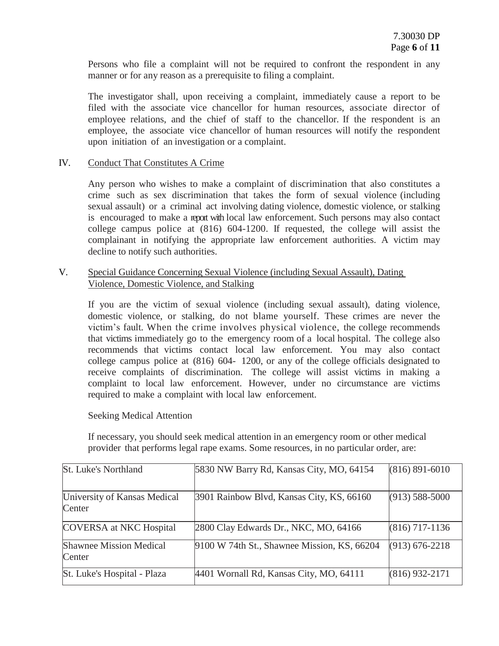Persons who file a complaint will not be required to confront the respondent in any manner or for any reason as a prerequisite to filing a complaint.

The investigator shall, upon receiving a complaint, immediately cause a report to be filed with the associate vice chancellor for human resources, associate director of employee relations, and the chief of staff to the chancellor. If the respondent is an employee, the associate vice chancellor of human resources will notify the respondent upon initiation of an investigation or a complaint.

## IV. Conduct That Constitutes A Crime

Any person who wishes to make a complaint of discrimination that also constitutes a crime such as sex discrimination that takes the form of sexual violence (including sexual assault) or a criminal act involving dating violence, domestic violence, or stalking is encouraged to make a report with local law enforcement. Such persons may also contact college campus police at (816) 604-1200. If requested, the college will assist the complainant in notifying the appropriate law enforcement authorities. A victim may decline to notify such authorities.

# V. Special Guidance Concerning Sexual Violence (including Sexual Assault), Dating Violence, Domestic Violence, and Stalking

If you are the victim of sexual violence (including sexual assault), dating violence, domestic violence, or stalking, do not blame yourself. These crimes are never the victim's fault. When the crime involves physical violence, the college recommends that victims immediately go to the emergency room of a local hospital. The college also recommends that victims contact local law enforcement. You may also contact college campus police at (816) 604- 1200, or any of the college officials designated to receive complaints of discrimination. The college will assist victims in making a complaint to local law enforcement. However, under no circumstance are victims required to make a complaint with local law enforcement.

## Seeking Medical Attention

If necessary, you should seek medical attention in an emergency room or other medical provider that performs legal rape exams. Some resources, in no particular order, are:

| St. Luke's Northland                     | 5830 NW Barry Rd, Kansas City, MO, 64154    | $(816) 891 - 6010$ |
|------------------------------------------|---------------------------------------------|--------------------|
| University of Kansas Medical<br>Center   | 3901 Rainbow Blvd, Kansas City, KS, 66160   | $(913) 588 - 5000$ |
| <b>COVERSA</b> at NKC Hospital           | 2800 Clay Edwards Dr., NKC, MO, 64166       | $(816)$ 717-1136   |
| <b>Shawnee Mission Medical</b><br>Center | 9100 W 74th St., Shawnee Mission, KS, 66204 | $(913) 676 - 2218$ |
| St. Luke's Hospital - Plaza              | 4401 Wornall Rd, Kansas City, MO, 64111     | $(816)$ 932-2171   |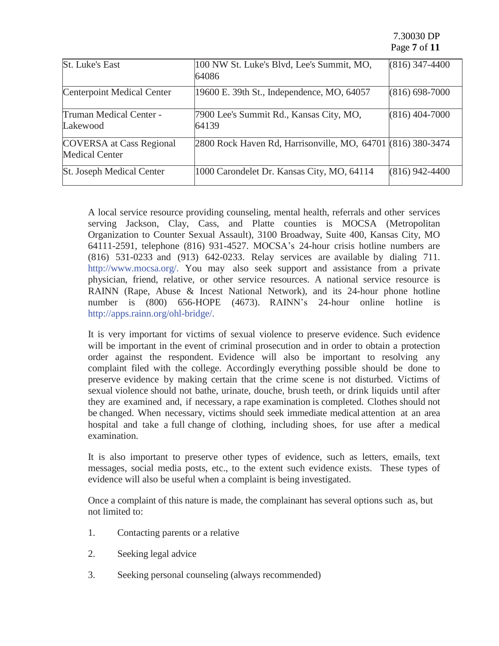7.30030 DP Page **7** of **11**

| <b>St. Luke's East</b>                                   | 100 NW St. Luke's Blvd, Lee's Summit, MO,<br>64086          | $(816)$ 347-4400   |
|----------------------------------------------------------|-------------------------------------------------------------|--------------------|
| <b>Centerpoint Medical Center</b>                        | 19600 E. 39th St., Independence, MO, 64057                  | $(816) 698 - 7000$ |
| Truman Medical Center -<br>Lakewood                      | 7900 Lee's Summit Rd., Kansas City, MO,<br>64139            | $(816)$ 404-7000   |
| <b>COVERSA</b> at Cass Regional<br><b>Medical Center</b> | 2800 Rock Haven Rd, Harrisonville, MO, 64701 (816) 380-3474 |                    |
| <b>St. Joseph Medical Center</b>                         | 1000 Carondelet Dr. Kansas City, MO, 64114                  | $(816)$ 942-4400   |

A local service resource providing counseling, mental health, referrals and other services serving Jackson, Clay, Cass, and Platte counties is MOCSA (Metropolitan Organization to Counter Sexual Assault), 3100 Broadway, Suite 400, Kansas City, MO 64111-2591, telephone (816) 931-4527. MOCSA's 24-hour crisis hotline numbers are (816) 531-0233 and (913) 642-0233. Relay services are available by dialing 711. [http://www.mocsa.org/.](http://www.mocsa.org/) You may also seek support and assistance from a private physician, friend, relative, or other service resources. A national service resource is RAINN (Rape, Abuse & Incest National Network), and its 24-hour phone hotline number is (800) 656-HOPE (4673). RAINN's 24-hour online hotline is [http://apps.rainn.org/ohl-bridge/.](http://apps.rainn.org/ohl-bridge/)

It is very important for victims of sexual violence to preserve evidence. Such evidence will be important in the event of criminal prosecution and in order to obtain a protection order against the respondent. Evidence will also be important to resolving any complaint filed with the college. Accordingly everything possible should be done to preserve evidence by making certain that the crime scene is not disturbed. Victims of sexual violence should not bathe, urinate, douche, brush teeth, or drink liquids until after they are examined and, if necessary, a rape examination is completed. Clothes should not be changed. When necessary, victims should seek immediate medical attention at an area hospital and take a full change of clothing, including shoes, for use after a medical examination.

It is also important to preserve other types of evidence, such as letters, emails, text messages, social media posts, etc., to the extent such evidence exists. These types of evidence will also be useful when a complaint is being investigated.

Once a complaint of this nature is made, the complainant has several options such as, but not limited to:

- 1. Contacting parents or a relative
- 2. Seeking legal advice
- 3. Seeking personal counseling (always recommended)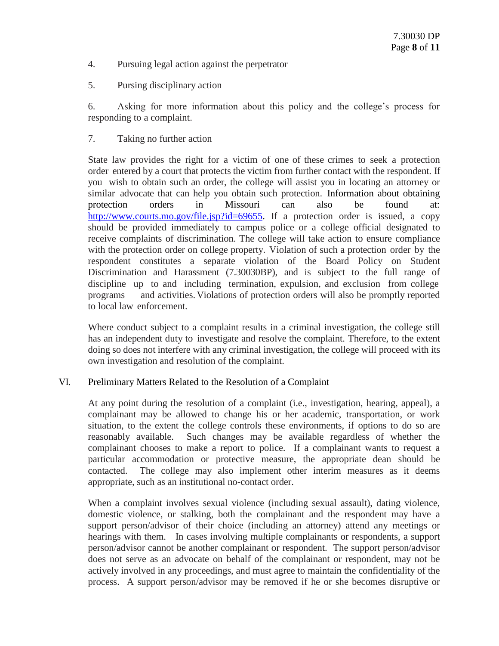- 4. Pursuing legal action against the perpetrator
- 5. Pursing disciplinary action

6. Asking for more information about this policy and the college's process for responding to a complaint.

7. Taking no further action

State law provides the right for a victim of one of these crimes to seek a protection order entered by a court that protects the victim from further contact with the respondent. If you wish to obtain such an order, the college will assist you in locating an attorney or similar advocate that can help you obtain such protection. Information about obtaining protection orders in Missouri can also be found at: [http://www.courts.mo.gov/file.jsp?id=69655.](http://www.courts.mo.gov/file.jsp?id=69655) If a protection order is issued, a copy should be provided immediately to campus police or a college official designated to receive complaints of discrimination. The college will take action to ensure compliance with the protection order on college property. Violation of such a protection order by the respondent constitutes a separate violation of the Board Policy on Student Discrimination and Harassment (7.30030BP), and is subject to the full range of discipline up to and including termination, expulsion, and exclusion from college programs and activities. Violations of protection orders will also be promptly reported to local law enforcement.

Where conduct subject to a complaint results in a criminal investigation, the college still has an independent duty to investigate and resolve the complaint. Therefore, to the extent doing so does not interfere with any criminal investigation, the college will proceed with its own investigation and resolution of the complaint.

## VI. Preliminary Matters Related to the Resolution of a Complaint

At any point during the resolution of a complaint (i.e., investigation, hearing, appeal), a complainant may be allowed to change his or her academic, transportation, or work situation, to the extent the college controls these environments, if options to do so are reasonably available. Such changes may be available regardless of whether the complainant chooses to make a report to police. If a complainant wants to request a particular accommodation or protective measure, the appropriate dean should be contacted. The college may also implement other interim measures as it deems appropriate, such as an institutional no-contact order.

When a complaint involves sexual violence (including sexual assault), dating violence, domestic violence, or stalking, both the complainant and the respondent may have a support person/advisor of their choice (including an attorney) attend any meetings or hearings with them. In cases involving multiple complainants or respondents, a support person/advisor cannot be another complainant or respondent. The support person/advisor does not serve as an advocate on behalf of the complainant or respondent, may not be actively involved in any proceedings, and must agree to maintain the confidentiality of the process. A support person/advisor may be removed if he or she becomes disruptive or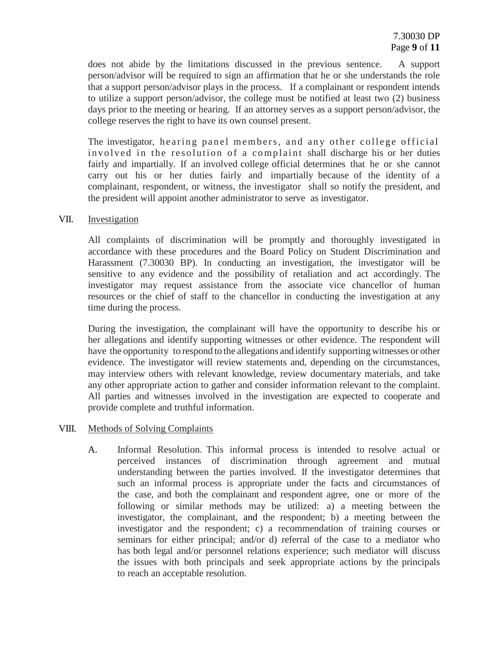does not abide by the limitations discussed in the previous sentence. A support person/advisor will be required to sign an affirmation that he or she understands the role that a support person/advisor plays in the process. If a complainant or respondent intends to utilize a support person/advisor, the college must be notified at least two (2) business days prior to the meeting or hearing. If an attorney serves as a support person/advisor, the college reserves the right to have its own counsel present.

The investigator, hearing panel members, and any other college official involved in the resolution of a complaint shall discharge his or her duties fairly and impartially. If an involved college official determines that he or she cannot carry out his or her duties fairly and impartially because of the identity of a complainant, respondent, or witness, the investigator shall so notify the president, and the president will appoint another administrator to serve as investigator.

### VII. Investigation

All complaints of discrimination will be promptly and thoroughly investigated in accordance with these procedures and the Board Policy on Student Discrimination and Harassment (7.30030 BP). In conducting an investigation, the investigator will be sensitive to any evidence and the possibility of retaliation and act accordingly. The investigator may request assistance from the associate vice chancellor of human resources or the chief of staff to the chancellor in conducting the investigation at any time during the process.

During the investigation, the complainant will have the opportunity to describe his or her allegations and identify supporting witnesses or other evidence. The respondent will have the opportunity to respond to the allegations and identify supporting witnesses or other evidence. The investigator will review statements and, depending on the circumstances, may interview others with relevant knowledge, review documentary materials, and take any other appropriate action to gather and consider information relevant to the complaint. All parties and witnesses involved in the investigation are expected to cooperate and provide complete and truthful information.

## VIII. Methods of Solving Complaints

A. Informal Resolution. This informal process is intended to resolve actual or perceived instances of discrimination through agreement and mutual understanding between the parties involved. If the investigator determines that such an informal process is appropriate under the facts and circumstances of the case, and both the complainant and respondent agree, one or more of the following or similar methods may be utilized: a) a meeting between the investigator, the complainant, and the respondent; b) a meeting between the investigator and the respondent; c) a recommendation of training courses or seminars for either principal; and/or d) referral of the case to a mediator who has both legal and/or personnel relations experience; such mediator will discuss the issues with both principals and seek appropriate actions by the principals to reach an acceptable resolution.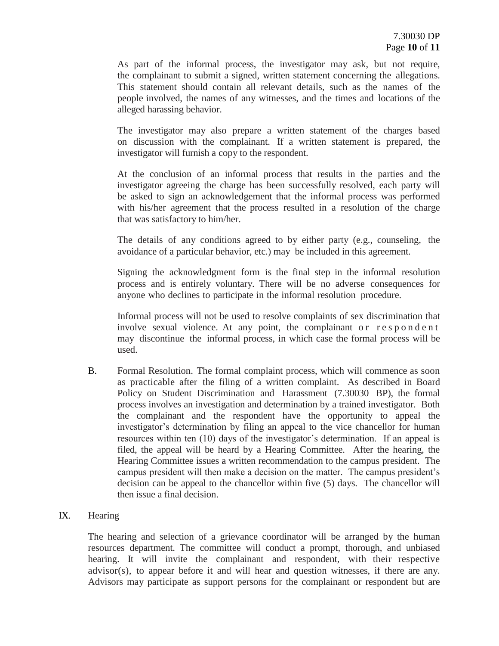As part of the informal process, the investigator may ask, but not require, the complainant to submit a signed, written statement concerning the allegations. This statement should contain all relevant details, such as the names of the people involved, the names of any witnesses, and the times and locations of the alleged harassing behavior.

The investigator may also prepare a written statement of the charges based on discussion with the complainant. If a written statement is prepared, the investigator will furnish a copy to the respondent.

At the conclusion of an informal process that results in the parties and the investigator agreeing the charge has been successfully resolved, each party will be asked to sign an acknowledgement that the informal process was performed with his/her agreement that the process resulted in a resolution of the charge that was satisfactory to him/her.

The details of any conditions agreed to by either party (e.g., counseling, the avoidance of a particular behavior, etc.) may be included in this agreement.

Signing the acknowledgment form is the final step in the informal resolution process and is entirely voluntary. There will be no adverse consequences for anyone who declines to participate in the informal resolution procedure.

Informal process will not be used to resolve complaints of sex discrimination that involve sexual violence. At any point, the complainant or  $r \in \text{span} \, d \, e \, n$  t may discontinue the informal process, in which case the formal process will be used.

B. Formal Resolution. The formal complaint process, which will commence as soon as practicable after the filing of a written complaint. As described in Board Policy on Student Discrimination and Harassment (7.30030 BP), the formal process involves an investigation and determination by a trained investigator. Both the complainant and the respondent have the opportunity to appeal the investigator's determination by filing an appeal to the vice chancellor for human resources within ten (10) days of the investigator's determination. If an appeal is filed, the appeal will be heard by a Hearing Committee. After the hearing, the Hearing Committee issues a written recommendation to the campus president. The campus president will then make a decision on the matter. The campus president's decision can be appeal to the chancellor within five (5) days. The chancellor will then issue a final decision.

## IX. Hearing

The hearing and selection of a grievance coordinator will be arranged by the human resources department. The committee will conduct a prompt, thorough, and unbiased hearing. It will invite the complainant and respondent, with their respective advisor(s), to appear before it and will hear and question witnesses, if there are any. Advisors may participate as support persons for the complainant or respondent but are